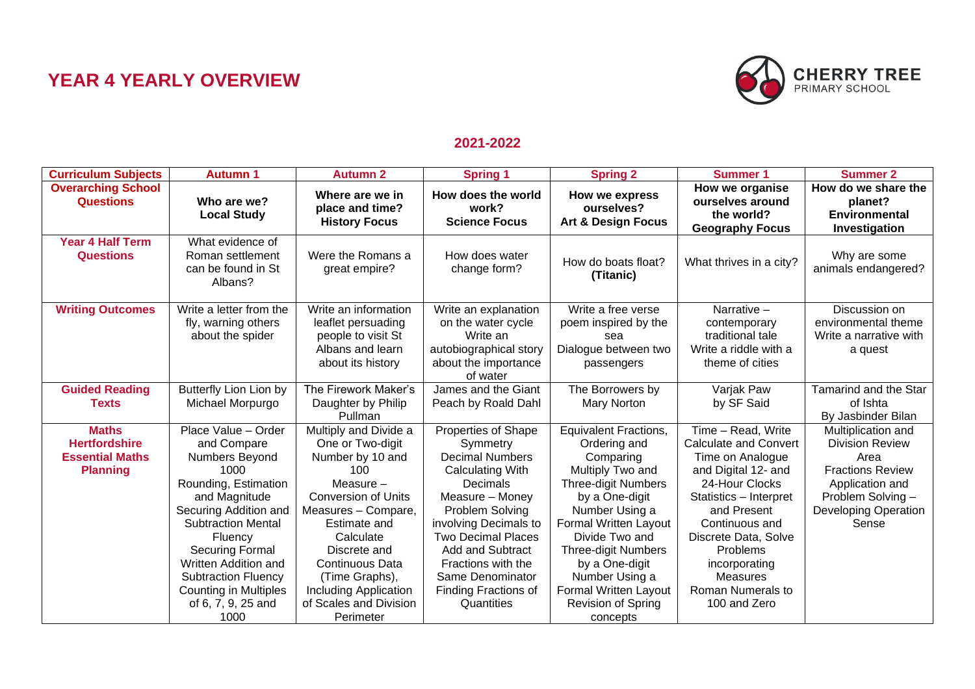## **YEAR 4 YEARLY OVERVIEW**



## **2021-2022**

| <b>Curriculum Subjects</b>                                                        | <b>Autumn 1</b>                                                                                                                                                                                                                                                                                                      | <b>Autumn 2</b>                                                                                                                                                                                                                                                                                   | <b>Spring 1</b>                                                                                                                                                                                                                                                                                                | <b>Spring 2</b>                                                                                                                                                                                                                                                                                                                | <b>Summer 1</b>                                                                                                                                                                                                                                                                         | <b>Summer 2</b>                                                                                                                                                 |
|-----------------------------------------------------------------------------------|----------------------------------------------------------------------------------------------------------------------------------------------------------------------------------------------------------------------------------------------------------------------------------------------------------------------|---------------------------------------------------------------------------------------------------------------------------------------------------------------------------------------------------------------------------------------------------------------------------------------------------|----------------------------------------------------------------------------------------------------------------------------------------------------------------------------------------------------------------------------------------------------------------------------------------------------------------|--------------------------------------------------------------------------------------------------------------------------------------------------------------------------------------------------------------------------------------------------------------------------------------------------------------------------------|-----------------------------------------------------------------------------------------------------------------------------------------------------------------------------------------------------------------------------------------------------------------------------------------|-----------------------------------------------------------------------------------------------------------------------------------------------------------------|
| <b>Overarching School</b><br><b>Questions</b>                                     | Who are we?<br><b>Local Study</b>                                                                                                                                                                                                                                                                                    | Where are we in<br>place and time?<br><b>History Focus</b>                                                                                                                                                                                                                                        | How does the world<br>work?<br><b>Science Focus</b>                                                                                                                                                                                                                                                            | How we express<br>ourselves?<br><b>Art &amp; Design Focus</b>                                                                                                                                                                                                                                                                  | How we organise<br>ourselves around<br>the world?<br><b>Geography Focus</b>                                                                                                                                                                                                             | How do we share the<br>planet?<br><b>Environmental</b><br>Investigation                                                                                         |
| <b>Year 4 Half Term</b><br><b>Questions</b>                                       | What evidence of<br>Roman settlement<br>can be found in St<br>Albans?                                                                                                                                                                                                                                                | Were the Romans a<br>great empire?                                                                                                                                                                                                                                                                | How does water<br>change form?                                                                                                                                                                                                                                                                                 | How do boats float?<br>(Titanic)                                                                                                                                                                                                                                                                                               | What thrives in a city?                                                                                                                                                                                                                                                                 | Why are some<br>animals endangered?                                                                                                                             |
| <b>Writing Outcomes</b>                                                           | Write a letter from the<br>fly, warning others<br>about the spider                                                                                                                                                                                                                                                   | Write an information<br>leaflet persuading<br>people to visit St<br>Albans and learn<br>about its history                                                                                                                                                                                         | Write an explanation<br>on the water cycle<br>Write an<br>autobiographical story<br>about the importance<br>of water                                                                                                                                                                                           | Write a free verse<br>poem inspired by the<br>sea<br>Dialogue between two<br>passengers                                                                                                                                                                                                                                        | Narrative -<br>contemporary<br>traditional tale<br>Write a riddle with a<br>theme of cities                                                                                                                                                                                             | Discussion on<br>environmental theme<br>Write a narrative with<br>a quest                                                                                       |
| <b>Guided Reading</b><br><b>Texts</b>                                             | Butterfly Lion Lion by<br>Michael Morpurgo                                                                                                                                                                                                                                                                           | The Firework Maker's<br>Daughter by Philip<br>Pullman                                                                                                                                                                                                                                             | James and the Giant<br>Peach by Roald Dahl                                                                                                                                                                                                                                                                     | The Borrowers by<br><b>Mary Norton</b>                                                                                                                                                                                                                                                                                         | Varjak Paw<br>by SF Said                                                                                                                                                                                                                                                                | Tamarind and the Star<br>of Ishta<br>By Jasbinder Bilan                                                                                                         |
| <b>Maths</b><br><b>Hertfordshire</b><br><b>Essential Maths</b><br><b>Planning</b> | Place Value - Order<br>and Compare<br>Numbers Beyond<br>1000<br>Rounding, Estimation<br>and Magnitude<br>Securing Addition and<br><b>Subtraction Mental</b><br>Fluency<br><b>Securing Formal</b><br>Written Addition and<br><b>Subtraction Fluency</b><br><b>Counting in Multiples</b><br>of 6, 7, 9, 25 and<br>1000 | Multiply and Divide a<br>One or Two-digit<br>Number by 10 and<br>100<br>Measure $-$<br><b>Conversion of Units</b><br>Measures - Compare,<br>Estimate and<br>Calculate<br>Discrete and<br><b>Continuous Data</b><br>(Time Graphs),<br>Including Application<br>of Scales and Division<br>Perimeter | <b>Properties of Shape</b><br>Symmetry<br><b>Decimal Numbers</b><br><b>Calculating With</b><br>Decimals<br>Measure - Money<br>Problem Solving<br>involving Decimals to<br><b>Two Decimal Places</b><br>Add and Subtract<br>Fractions with the<br>Same Denominator<br><b>Finding Fractions of</b><br>Quantities | <b>Equivalent Fractions,</b><br>Ordering and<br>Comparing<br>Multiply Two and<br><b>Three-digit Numbers</b><br>by a One-digit<br>Number Using a<br>Formal Written Layout<br>Divide Two and<br><b>Three-digit Numbers</b><br>by a One-digit<br>Number Using a<br><b>Formal Written Layout</b><br>Revision of Spring<br>concepts | Time - Read, Write<br><b>Calculate and Convert</b><br>Time on Analogue<br>and Digital 12- and<br>24-Hour Clocks<br>Statistics - Interpret<br>and Present<br>Continuous and<br>Discrete Data, Solve<br>Problems<br>incorporating<br><b>Measures</b><br>Roman Numerals to<br>100 and Zero | Multiplication and<br><b>Division Review</b><br>Area<br><b>Fractions Review</b><br>Application and<br>Problem Solving -<br><b>Developing Operation</b><br>Sense |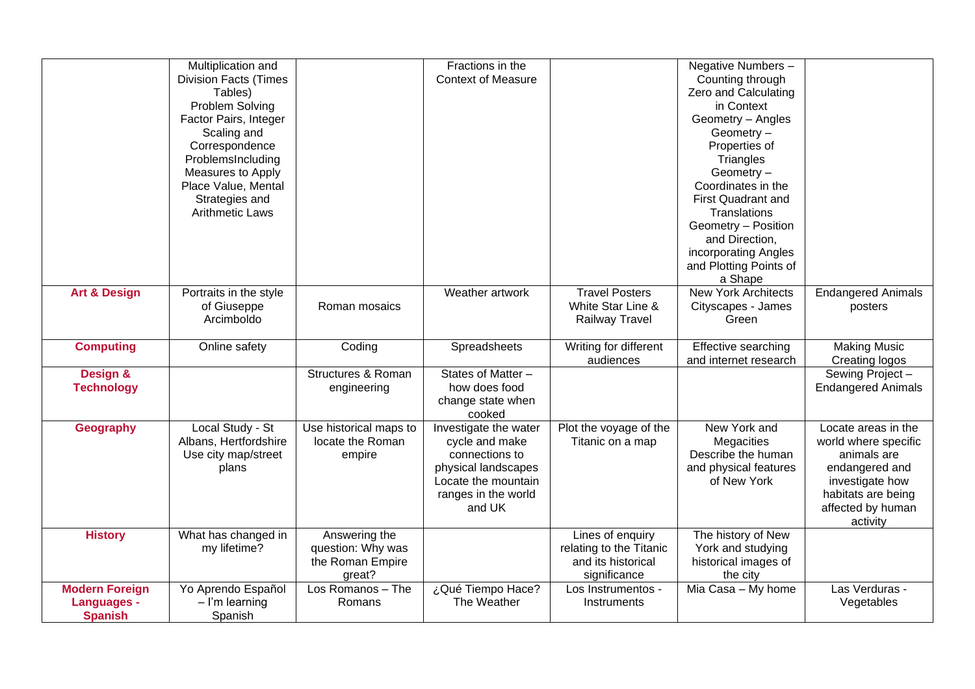|                                      | Multiplication and           |                               | Fractions in the          |                         | Negative Numbers -         |                           |
|--------------------------------------|------------------------------|-------------------------------|---------------------------|-------------------------|----------------------------|---------------------------|
|                                      | <b>Division Facts (Times</b> |                               | <b>Context of Measure</b> |                         | Counting through           |                           |
|                                      | Tables)                      |                               |                           |                         | Zero and Calculating       |                           |
|                                      | Problem Solving              |                               |                           |                         | in Context                 |                           |
|                                      | Factor Pairs, Integer        |                               |                           |                         | Geometry - Angles          |                           |
|                                      | Scaling and                  |                               |                           |                         | Geometry -                 |                           |
|                                      | Correspondence               |                               |                           |                         | Properties of              |                           |
|                                      | ProblemsIncluding            |                               |                           |                         | Triangles                  |                           |
|                                      | Measures to Apply            |                               |                           |                         | Geometry-                  |                           |
|                                      | Place Value, Mental          |                               |                           |                         | Coordinates in the         |                           |
|                                      | Strategies and               |                               |                           |                         | <b>First Quadrant and</b>  |                           |
|                                      | <b>Arithmetic Laws</b>       |                               |                           |                         | Translations               |                           |
|                                      |                              |                               |                           |                         | Geometry - Position        |                           |
|                                      |                              |                               |                           |                         | and Direction,             |                           |
|                                      |                              |                               |                           |                         | incorporating Angles       |                           |
|                                      |                              |                               |                           |                         | and Plotting Points of     |                           |
|                                      |                              |                               |                           |                         | a Shape                    |                           |
| <b>Art &amp; Design</b>              | Portraits in the style       |                               | Weather artwork           | <b>Travel Posters</b>   | <b>New York Architects</b> | <b>Endangered Animals</b> |
|                                      | of Giuseppe                  | Roman mosaics                 |                           | White Star Line &       | Cityscapes - James         | posters                   |
|                                      | Arcimboldo                   |                               |                           | Railway Travel          | Green                      |                           |
|                                      |                              |                               |                           |                         |                            |                           |
| <b>Computing</b>                     | Online safety                | Coding                        | Spreadsheets              | Writing for different   | <b>Effective searching</b> | <b>Making Music</b>       |
|                                      |                              |                               |                           | audiences               | and internet research      | Creating logos            |
| Design &                             |                              | <b>Structures &amp; Roman</b> | States of Matter -        |                         |                            | Sewing Project-           |
| <b>Technology</b>                    |                              | engineering                   | how does food             |                         |                            | <b>Endangered Animals</b> |
|                                      |                              |                               | change state when         |                         |                            |                           |
|                                      |                              |                               | cooked                    |                         |                            |                           |
| <b>Geography</b>                     |                              |                               |                           |                         |                            |                           |
|                                      | Local Study - St             | Use historical maps to        | Investigate the water     | Plot the voyage of the  | New York and               | Locate areas in the       |
|                                      | Albans, Hertfordshire        | locate the Roman              | cycle and make            | Titanic on a map        | Megacities                 | world where specific      |
|                                      | Use city map/street          | empire                        | connections to            |                         | Describe the human         | animals are               |
|                                      | plans                        |                               | physical landscapes       |                         | and physical features      | endangered and            |
|                                      |                              |                               | Locate the mountain       |                         | of New York                | investigate how           |
|                                      |                              |                               | ranges in the world       |                         |                            | habitats are being        |
|                                      |                              |                               | and UK                    |                         |                            | affected by human         |
|                                      |                              |                               |                           |                         |                            | activity                  |
| <b>History</b>                       | What has changed in          | Answering the                 |                           | Lines of enquiry        | The history of New         |                           |
|                                      | my lifetime?                 | question: Why was             |                           | relating to the Titanic | York and studying          |                           |
|                                      |                              | the Roman Empire              |                           | and its historical      | historical images of       |                           |
|                                      |                              | great?                        |                           | significance            | the city                   |                           |
| <b>Modern Foreign</b>                | Yo Aprendo Español           | Los Romanos - The             | ¿Qué Tiempo Hace?         | Los Instrumentos -      | Mia Casa - My home         | Las Verduras -            |
| <b>Languages -</b><br><b>Spanish</b> | $-$ I'm learning<br>Spanish  | Romans                        | The Weather               | Instruments             |                            | Vegetables                |